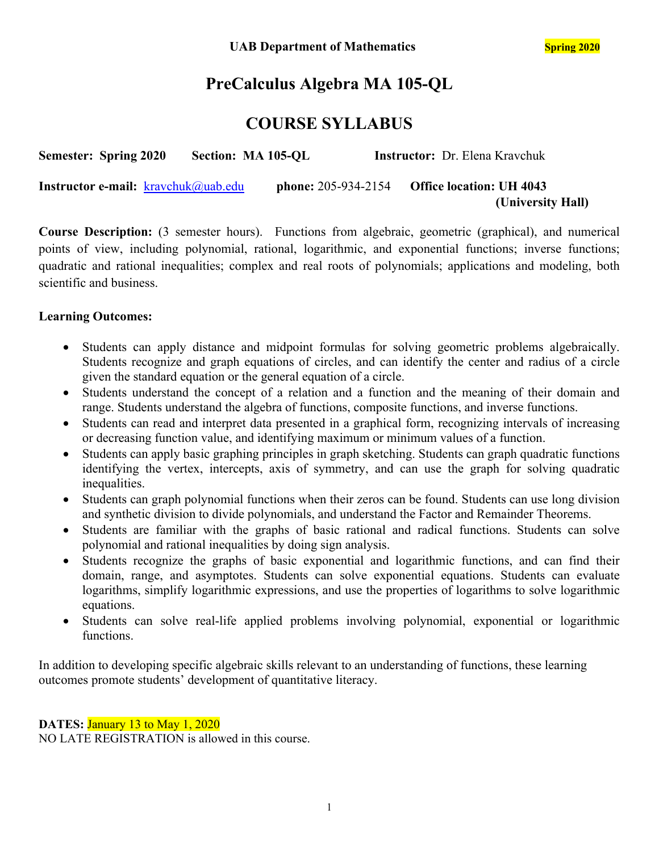# **PreCalculus Algebra MA 105-QL**

## **COURSE SYLLABUS**

| <b>Semester: Spring 2020</b>                  | Section: MA 105-QL |                            | <b>Instructor:</b> Dr. Elena Kravchuk |  |
|-----------------------------------------------|--------------------|----------------------------|---------------------------------------|--|
| <b>Instructor e-mail:</b> $k$ ravchuk@uab.edu |                    | <b>phone:</b> 205-934-2154 | <b>Office location: UH 4043</b>       |  |
|                                               |                    |                            | (University Hall)                     |  |

**Course Description:** (3 semester hours). Functions from algebraic, geometric (graphical), and numerical points of view, including polynomial, rational, logarithmic, and exponential functions; inverse functions; quadratic and rational inequalities; complex and real roots of polynomials; applications and modeling, both scientific and business.

## **Learning Outcomes:**

- Students can apply distance and midpoint formulas for solving geometric problems algebraically. Students recognize and graph equations of circles, and can identify the center and radius of a circle given the standard equation or the general equation of a circle.
- Students understand the concept of a relation and a function and the meaning of their domain and range. Students understand the algebra of functions, composite functions, and inverse functions.
- Students can read and interpret data presented in a graphical form, recognizing intervals of increasing or decreasing function value, and identifying maximum or minimum values of a function.
- Students can apply basic graphing principles in graph sketching. Students can graph quadratic functions identifying the vertex, intercepts, axis of symmetry, and can use the graph for solving quadratic inequalities.
- Students can graph polynomial functions when their zeros can be found. Students can use long division and synthetic division to divide polynomials, and understand the Factor and Remainder Theorems.
- Students are familiar with the graphs of basic rational and radical functions. Students can solve polynomial and rational inequalities by doing sign analysis.
- Students recognize the graphs of basic exponential and logarithmic functions, and can find their domain, range, and asymptotes. Students can solve exponential equations. Students can evaluate logarithms, simplify logarithmic expressions, and use the properties of logarithms to solve logarithmic equations.
- Students can solve real-life applied problems involving polynomial, exponential or logarithmic functions.

In addition to developing specific algebraic skills relevant to an understanding of functions, these learning outcomes promote students' development of quantitative literacy.

**DATES:** January 13 to May 1, 2020

NO LATE REGISTRATION is allowed in this course.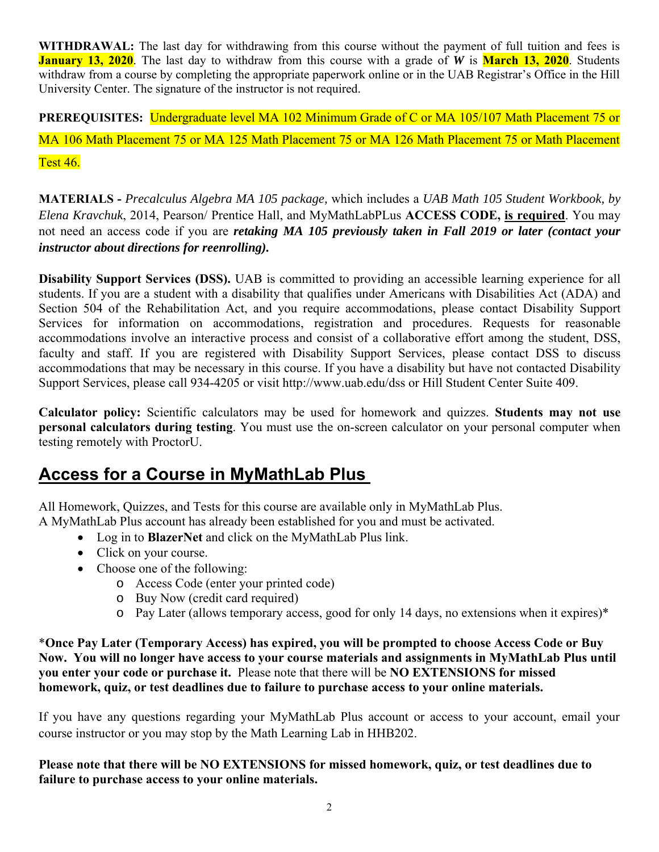**WITHDRAWAL:** The last day for withdrawing from this course without the payment of full tuition and fees is **January 13, 2020**. The last day to withdraw from this course with a grade of *W* is **March 13, 2020**. Students withdraw from a course by completing the appropriate paperwork online or in the UAB Registrar's Office in the Hill University Center. The signature of the instructor is not required.

**PREREQUISITES:** Undergraduate level MA 102 Minimum Grade of C or MA 105/107 Math Placement 75 or MA 106 Math Placement 75 or MA 125 Math Placement 75 or MA 126 Math Placement 75 or Math Placement Test 46.

**MATERIALS -** *Precalculus Algebra MA 105 package,* which includes a *UAB Math 105 Student Workbook, by Elena Kravchuk*, 2014, Pearson/ Prentice Hall, and MyMathLabPLus **ACCESS CODE, is required**. You may not need an access code if you are *retaking MA 105 previously taken in Fall 2019 or later (contact your instructor about directions for reenrolling).* 

**Disability Support Services (DSS).** UAB is committed to providing an accessible learning experience for all students. If you are a student with a disability that qualifies under Americans with Disabilities Act (ADA) and Section 504 of the Rehabilitation Act, and you require accommodations, please contact Disability Support Services for information on accommodations, registration and procedures. Requests for reasonable accommodations involve an interactive process and consist of a collaborative effort among the student, DSS, faculty and staff. If you are registered with Disability Support Services, please contact DSS to discuss accommodations that may be necessary in this course. If you have a disability but have not contacted Disability Support Services, please call 934-4205 or visit http://www.uab.edu/dss or Hill Student Center Suite 409.

**Calculator policy:** Scientific calculators may be used for homework and quizzes. **Students may not use personal calculators during testing**. You must use the on-screen calculator on your personal computer when testing remotely with ProctorU.

# **Access for a Course in MyMathLab Plus**

All Homework, Quizzes, and Tests for this course are available only in MyMathLab Plus. A MyMathLab Plus account has already been established for you and must be activated.

- Log in to **BlazerNet** and click on the MyMathLab Plus link.
- Click on your course.
- Choose one of the following:
	- o Access Code (enter your printed code)
	- o Buy Now (credit card required)
	- o Pay Later (allows temporary access, good for only 14 days, no extensions when it expires)\*

\***Once Pay Later (Temporary Access) has expired, you will be prompted to choose Access Code or Buy Now. You will no longer have access to your course materials and assignments in MyMathLab Plus until you enter your code or purchase it.** Please note that there will be **NO EXTENSIONS for missed homework, quiz, or test deadlines due to failure to purchase access to your online materials.** 

If you have any questions regarding your MyMathLab Plus account or access to your account, email your course instructor or you may stop by the Math Learning Lab in HHB202.

**Please note that there will be NO EXTENSIONS for missed homework, quiz, or test deadlines due to failure to purchase access to your online materials.**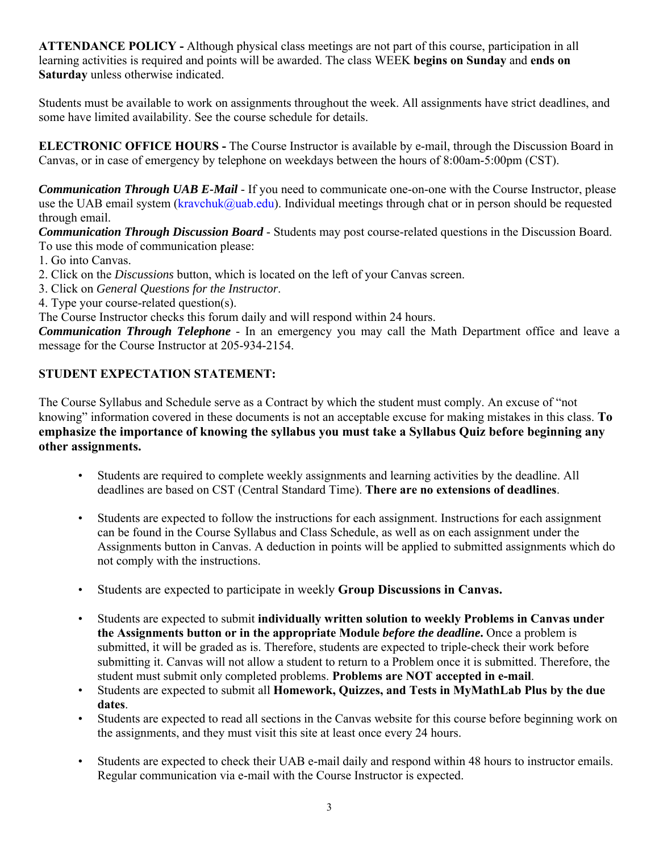**ATTENDANCE POLICY -** Although physical class meetings are not part of this course, participation in all learning activities is required and points will be awarded. The class WEEK **begins on Sunday** and **ends on Saturday** unless otherwise indicated.

Students must be available to work on assignments throughout the week. All assignments have strict deadlines, and some have limited availability. See the course schedule for details.

**ELECTRONIC OFFICE HOURS -** The Course Instructor is available by e-mail, through the Discussion Board in Canvas, or in case of emergency by telephone on weekdays between the hours of 8:00am-5:00pm (CST).

*Communication Through UAB E-Mail* - If you need to communicate one-on-one with the Course Instructor, please use the UAB email system (kravchuk@uab.edu). Individual meetings through chat or in person should be requested through email.

*Communication Through Discussion Board* - Students may post course-related questions in the Discussion Board. To use this mode of communication please:

- 1. Go into Canvas.
- 2. Click on the *Discussions* button, which is located on the left of your Canvas screen.
- 3. Click on *General Questions for the Instructor*.
- 4. Type your course-related question(s).

The Course Instructor checks this forum daily and will respond within 24 hours.

*Communication Through Telephone* - In an emergency you may call the Math Department office and leave a message for the Course Instructor at 205-934-2154.

## **STUDENT EXPECTATION STATEMENT:**

The Course Syllabus and Schedule serve as a Contract by which the student must comply. An excuse of "not knowing" information covered in these documents is not an acceptable excuse for making mistakes in this class. **To emphasize the importance of knowing the syllabus you must take a Syllabus Quiz before beginning any other assignments.**

- Students are required to complete weekly assignments and learning activities by the deadline. All deadlines are based on CST (Central Standard Time). **There are no extensions of deadlines**.
- Students are expected to follow the instructions for each assignment. Instructions for each assignment can be found in the Course Syllabus and Class Schedule, as well as on each assignment under the Assignments button in Canvas. A deduction in points will be applied to submitted assignments which do not comply with the instructions.
- Students are expected to participate in weekly **Group Discussions in Canvas.**
- Students are expected to submit **individually written solution to weekly Problems in Canvas under the Assignments button or in the appropriate Module** *before the deadline***.** Once a problem is submitted, it will be graded as is. Therefore, students are expected to triple-check their work before submitting it. Canvas will not allow a student to return to a Problem once it is submitted. Therefore, the student must submit only completed problems. **Problems are NOT accepted in e-mail**.
- Students are expected to submit all **Homework, Quizzes, and Tests in MyMathLab Plus by the due dates**.
- Students are expected to read all sections in the Canvas website for this course before beginning work on the assignments, and they must visit this site at least once every 24 hours.
- Students are expected to check their UAB e-mail daily and respond within 48 hours to instructor emails. Regular communication via e-mail with the Course Instructor is expected.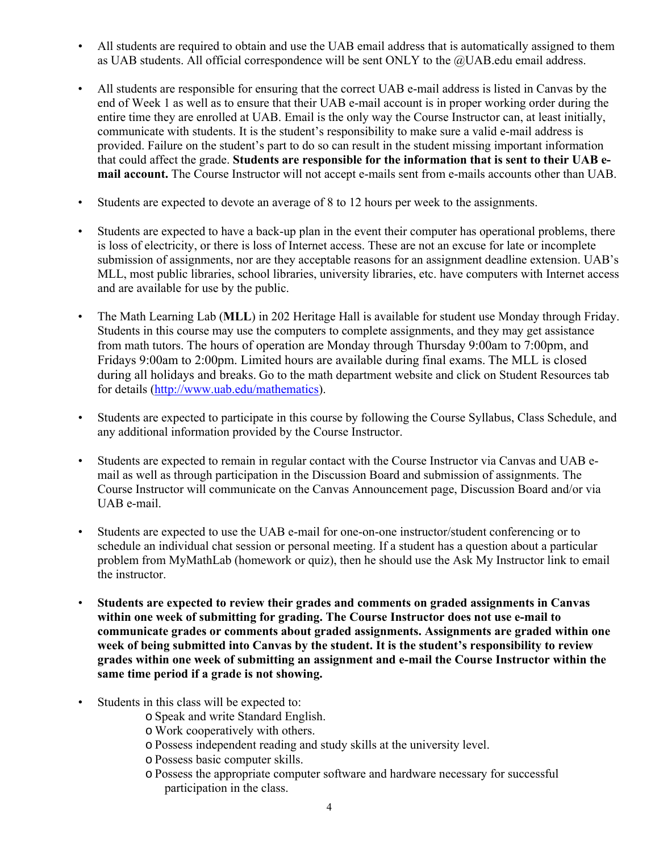- All students are required to obtain and use the UAB email address that is automatically assigned to them as UAB students. All official correspondence will be sent ONLY to the @UAB.edu email address.
- All students are responsible for ensuring that the correct UAB e-mail address is listed in Canvas by the end of Week 1 as well as to ensure that their UAB e-mail account is in proper working order during the entire time they are enrolled at UAB. Email is the only way the Course Instructor can, at least initially, communicate with students. It is the student's responsibility to make sure a valid e-mail address is provided. Failure on the student's part to do so can result in the student missing important information that could affect the grade. **Students are responsible for the information that is sent to their UAB email account.** The Course Instructor will not accept e-mails sent from e-mails accounts other than UAB.
- Students are expected to devote an average of 8 to 12 hours per week to the assignments.
- Students are expected to have a back-up plan in the event their computer has operational problems, there is loss of electricity, or there is loss of Internet access. These are not an excuse for late or incomplete submission of assignments, nor are they acceptable reasons for an assignment deadline extension. UAB's MLL, most public libraries, school libraries, university libraries, etc. have computers with Internet access and are available for use by the public.
- The Math Learning Lab (**MLL**) in 202 Heritage Hall is available for student use Monday through Friday. Students in this course may use the computers to complete assignments, and they may get assistance from math tutors. The hours of operation are Monday through Thursday 9:00am to 7:00pm, and Fridays 9:00am to 2:00pm. Limited hours are available during final exams. The MLL is closed during all holidays and breaks. Go to the math department website and click on Student Resources tab for details (http://www.uab.edu/mathematics).
- Students are expected to participate in this course by following the Course Syllabus, Class Schedule, and any additional information provided by the Course Instructor.
- Students are expected to remain in regular contact with the Course Instructor via Canvas and UAB email as well as through participation in the Discussion Board and submission of assignments. The Course Instructor will communicate on the Canvas Announcement page, Discussion Board and/or via UAB e-mail.
- Students are expected to use the UAB e-mail for one-on-one instructor/student conferencing or to schedule an individual chat session or personal meeting. If a student has a question about a particular problem from MyMathLab (homework or quiz), then he should use the Ask My Instructor link to email the instructor.
- **Students are expected to review their grades and comments on graded assignments in Canvas within one week of submitting for grading. The Course Instructor does not use e-mail to communicate grades or comments about graded assignments. Assignments are graded within one week of being submitted into Canvas by the student. It is the student's responsibility to review grades within one week of submitting an assignment and e-mail the Course Instructor within the same time period if a grade is not showing.**
- Students in this class will be expected to:
	- o Speak and write Standard English.
	- o Work cooperatively with others.
	- o Possess independent reading and study skills at the university level.
	- o Possess basic computer skills.
	- o Possess the appropriate computer software and hardware necessary for successful participation in the class.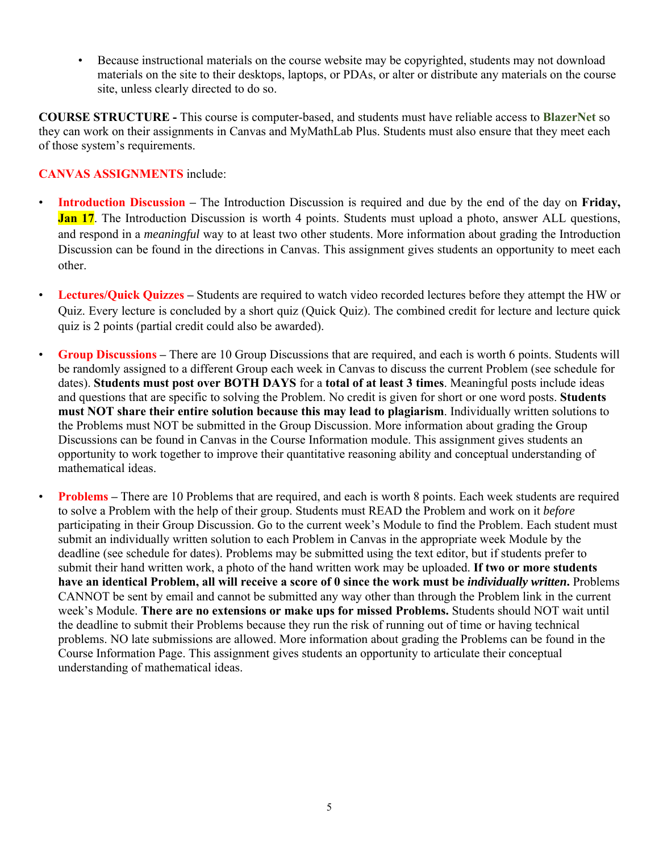• Because instructional materials on the course website may be copyrighted, students may not download materials on the site to their desktops, laptops, or PDAs, or alter or distribute any materials on the course site, unless clearly directed to do so.

**COURSE STRUCTURE -** This course is computer-based, and students must have reliable access to **BlazerNet** so they can work on their assignments in Canvas and MyMathLab Plus. Students must also ensure that they meet each of those system's requirements.

#### **CANVAS ASSIGNMENTS** include:

- **Introduction Discussion** The Introduction Discussion is required and due by the end of the day on **Friday, Jan 17.** The Introduction Discussion is worth 4 points. Students must upload a photo, answer ALL questions, and respond in a *meaningful* way to at least two other students. More information about grading the Introduction Discussion can be found in the directions in Canvas. This assignment gives students an opportunity to meet each other.
- **Lectures/Quick Quizzes** Students are required to watch video recorded lectures before they attempt the HW or Quiz. Every lecture is concluded by a short quiz (Quick Quiz). The combined credit for lecture and lecture quick quiz is 2 points (partial credit could also be awarded).
- **Group Discussions** There are 10 Group Discussions that are required, and each is worth 6 points. Students will be randomly assigned to a different Group each week in Canvas to discuss the current Problem (see schedule for dates). **Students must post over BOTH DAYS** for a **total of at least 3 times**. Meaningful posts include ideas and questions that are specific to solving the Problem. No credit is given for short or one word posts. **Students must NOT share their entire solution because this may lead to plagiarism**. Individually written solutions to the Problems must NOT be submitted in the Group Discussion. More information about grading the Group Discussions can be found in Canvas in the Course Information module. This assignment gives students an opportunity to work together to improve their quantitative reasoning ability and conceptual understanding of mathematical ideas.
	- **Problems** There are 10 Problems that are required, and each is worth 8 points. Each week students are required to solve a Problem with the help of their group. Students must READ the Problem and work on it *before*  participating in their Group Discussion. Go to the current week's Module to find the Problem. Each student must submit an individually written solution to each Problem in Canvas in the appropriate week Module by the deadline (see schedule for dates). Problems may be submitted using the text editor, but if students prefer to submit their hand written work, a photo of the hand written work may be uploaded. **If two or more students have an identical Problem, all will receive a score of 0 since the work must be** *individually written***.** Problems CANNOT be sent by email and cannot be submitted any way other than through the Problem link in the current week's Module. **There are no extensions or make ups for missed Problems.** Students should NOT wait until the deadline to submit their Problems because they run the risk of running out of time or having technical problems. NO late submissions are allowed. More information about grading the Problems can be found in the Course Information Page. This assignment gives students an opportunity to articulate their conceptual understanding of mathematical ideas.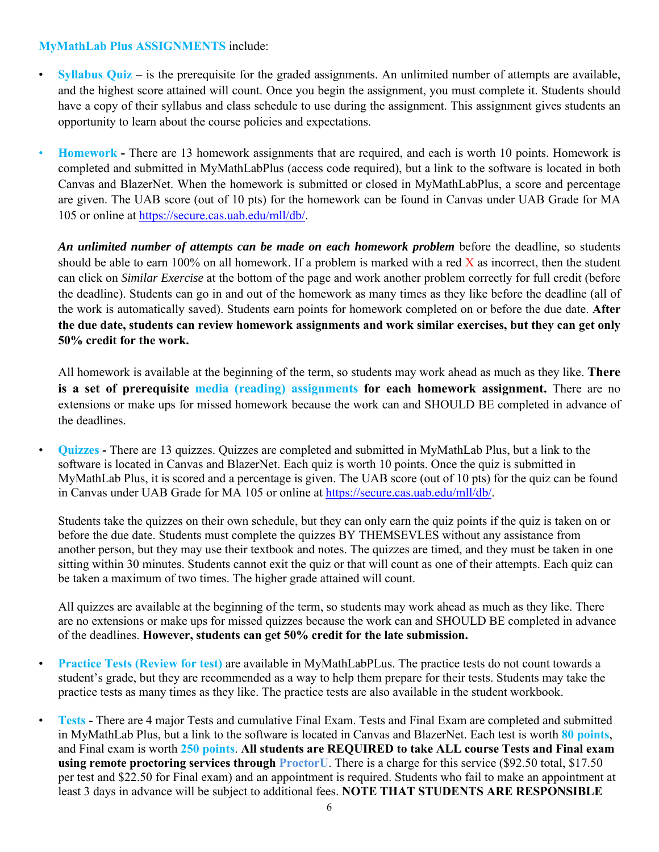#### **MyMathLab Plus ASSIGNMENTS** include:

- **Syllabus Quiz** is the prerequisite for the graded assignments. An unlimited number of attempts are available, and the highest score attained will count. Once you begin the assignment, you must complete it. Students should have a copy of their syllabus and class schedule to use during the assignment. This assignment gives students an opportunity to learn about the course policies and expectations.
- **Homework** There are 13 homework assignments that are required, and each is worth 10 points. Homework is completed and submitted in MyMathLabPlus (access code required), but a link to the software is located in both Canvas and BlazerNet. When the homework is submitted or closed in MyMathLabPlus, a score and percentage are given. The UAB score (out of 10 pts) for the homework can be found in Canvas under UAB Grade for MA 105 or online at https://secure.cas.uab.edu/mll/db/.

*An unlimited number of attempts can be made on each homework problem* before the deadline, so students should be able to earn 100% on all homework. If a problem is marked with a red  $X$  as incorrect, then the student can click on *Similar Exercise* at the bottom of the page and work another problem correctly for full credit (before the deadline). Students can go in and out of the homework as many times as they like before the deadline (all of the work is automatically saved). Students earn points for homework completed on or before the due date. **After the due date, students can review homework assignments and work similar exercises, but they can get only 50% credit for the work.** 

All homework is available at the beginning of the term, so students may work ahead as much as they like. **There is a set of prerequisite media (reading) assignments for each homework assignment.** There are no extensions or make ups for missed homework because the work can and SHOULD BE completed in advance of the deadlines.

• **Quizzes -** There are 13 quizzes. Quizzes are completed and submitted in MyMathLab Plus, but a link to the software is located in Canvas and BlazerNet. Each quiz is worth 10 points. Once the quiz is submitted in MyMathLab Plus, it is scored and a percentage is given. The UAB score (out of 10 pts) for the quiz can be found in Canvas under UAB Grade for MA 105 or online at https://secure.cas.uab.edu/mll/db/.

Students take the quizzes on their own schedule, but they can only earn the quiz points if the quiz is taken on or before the due date. Students must complete the quizzes BY THEMSEVLES without any assistance from another person, but they may use their textbook and notes. The quizzes are timed, and they must be taken in one sitting within 30 minutes. Students cannot exit the quiz or that will count as one of their attempts. Each quiz can be taken a maximum of two times. The higher grade attained will count.

All quizzes are available at the beginning of the term, so students may work ahead as much as they like. There are no extensions or make ups for missed quizzes because the work can and SHOULD BE completed in advance of the deadlines. **However, students can get 50% credit for the late submission.** 

- **Practice Tests (Review for test)** are available in MyMathLabPLus. The practice tests do not count towards a student's grade, but they are recommended as a way to help them prepare for their tests. Students may take the practice tests as many times as they like. The practice tests are also available in the student workbook.
- **Tests** There are 4 major Tests and cumulative Final Exam. Tests and Final Exam are completed and submitted in MyMathLab Plus, but a link to the software is located in Canvas and BlazerNet. Each test is worth **80 points**, and Final exam is worth **250 points**. **All students are REQUIRED to take ALL course Tests and Final exam using remote proctoring services through ProctorU**. There is a charge for this service (\$92.50 total, \$17.50 per test and \$22.50 for Final exam) and an appointment is required. Students who fail to make an appointment at least 3 days in advance will be subject to additional fees. **NOTE THAT STUDENTS ARE RESPONSIBLE**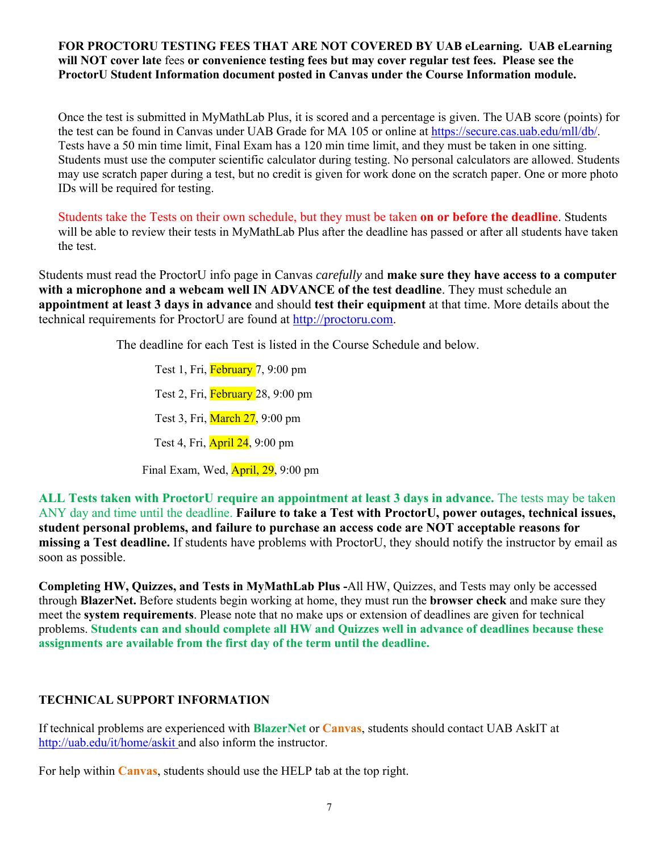#### **FOR PROCTORU TESTING FEES THAT ARE NOT COVERED BY UAB eLearning. UAB eLearning will NOT cover late** fees **or convenience testing fees but may cover regular test fees. Please see the ProctorU Student Information document posted in Canvas under the Course Information module.**

Once the test is submitted in MyMathLab Plus, it is scored and a percentage is given. The UAB score (points) for the test can be found in Canvas under UAB Grade for MA 105 or online at https://secure.cas.uab.edu/mll/db/. Tests have a 50 min time limit, Final Exam has a 120 min time limit, and they must be taken in one sitting. Students must use the computer scientific calculator during testing. No personal calculators are allowed. Students may use scratch paper during a test, but no credit is given for work done on the scratch paper. One or more photo IDs will be required for testing.

Students take the Tests on their own schedule, but they must be taken **on or before the deadline**. Students will be able to review their tests in MyMathLab Plus after the deadline has passed or after all students have taken the test.

Students must read the ProctorU info page in Canvas *carefully* and **make sure they have access to a computer with a microphone and a webcam well IN ADVANCE of the test deadline**. They must schedule an **appointment at least 3 days in advance** and should **test their equipment** at that time. More details about the technical requirements for ProctorU are found at http://proctoru.com.

The deadline for each Test is listed in the Course Schedule and below.

Test 1, Fri, February 7, 9:00 pm Test 2, Fri, February 28, 9:00 pm Test 3, Fri, March 27, 9:00 pm Test 4, Fri, April 24, 9:00 pm Final Exam, Wed, April, 29, 9:00 pm

**ALL Tests taken with ProctorU require an appointment at least 3 days in advance.** The tests may be taken ANY day and time until the deadline. **Failure to take a Test with ProctorU, power outages, technical issues, student personal problems, and failure to purchase an access code are NOT acceptable reasons for missing a Test deadline.** If students have problems with ProctorU, they should notify the instructor by email as soon as possible.

**Completing HW, Quizzes, and Tests in MyMathLab Plus -**All HW, Quizzes, and Tests may only be accessed through **BlazerNet.** Before students begin working at home, they must run the **browser check** and make sure they meet the **system requirements**. Please note that no make ups or extension of deadlines are given for technical problems. **Students can and should complete all HW and Quizzes well in advance of deadlines because these assignments are available from the first day of the term until the deadline.** 

## **TECHNICAL SUPPORT INFORMATION**

If technical problems are experienced with **BlazerNet** or **Canvas**, students should contact UAB AskIT at http://uab.edu/it/home/askit and also inform the instructor.

For help within **Canvas**, students should use the HELP tab at the top right.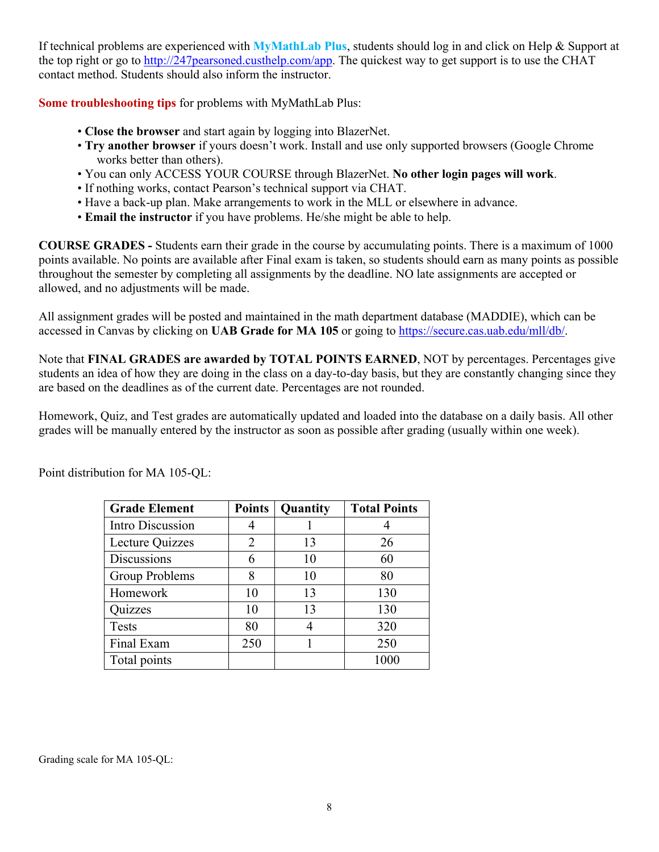If technical problems are experienced with **MyMathLab Plus**, students should log in and click on Help & Support at the top right or go to http://247pearsoned.custhelp.com/app. The quickest way to get support is to use the CHAT contact method. Students should also inform the instructor.

**Some troubleshooting tips** for problems with MyMathLab Plus:

- **Close the browser** and start again by logging into BlazerNet.
- **Try another browser** if yours doesn't work. Install and use only supported browsers (Google Chrome works better than others).
- You can only ACCESS YOUR COURSE through BlazerNet. **No other login pages will work**.
- If nothing works, contact Pearson's technical support via CHAT.
- Have a back-up plan. Make arrangements to work in the MLL or elsewhere in advance.
- **Email the instructor** if you have problems. He/she might be able to help.

**COURSE GRADES -** Students earn their grade in the course by accumulating points. There is a maximum of 1000 points available. No points are available after Final exam is taken, so students should earn as many points as possible throughout the semester by completing all assignments by the deadline. NO late assignments are accepted or allowed, and no adjustments will be made.

All assignment grades will be posted and maintained in the math department database (MADDIE), which can be accessed in Canvas by clicking on **UAB Grade for MA 105** or going to https://secure.cas.uab.edu/mll/db/.

Note that **FINAL GRADES are awarded by TOTAL POINTS EARNED**, NOT by percentages. Percentages give students an idea of how they are doing in the class on a day-to-day basis, but they are constantly changing since they are based on the deadlines as of the current date. Percentages are not rounded.

Homework, Quiz, and Test grades are automatically updated and loaded into the database on a daily basis. All other grades will be manually entered by the instructor as soon as possible after grading (usually within one week).

| <b>Grade Element</b> | <b>Points</b> | Quantity | <b>Total Points</b> |
|----------------------|---------------|----------|---------------------|
| Intro Discussion     |               |          |                     |
| Lecture Quizzes      | 2             | 13       | 26                  |
| <b>Discussions</b>   | 6             | 10       | 60                  |
| Group Problems       | 8             | 10       | 80                  |
| Homework             | 10            | 13       | 130                 |
| Quizzes              | 10            | 13       | 130                 |
| Tests                | 80            |          | 320                 |
| Final Exam           | 250           |          | 250                 |
| Total points         |               |          |                     |

Point distribution for MA 105-QL:

Grading scale for MA 105-QL: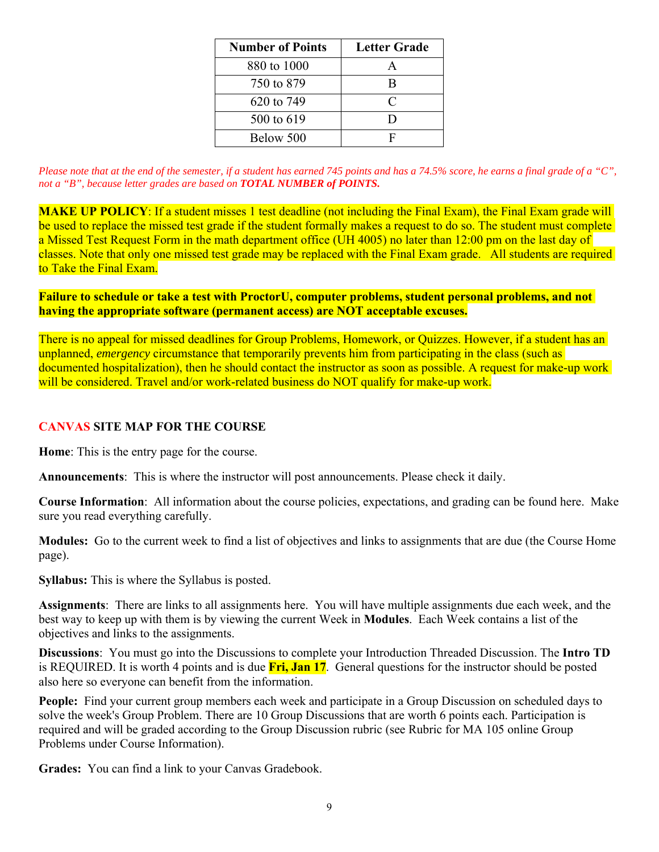| <b>Number of Points</b> | <b>Letter Grade</b> |  |  |
|-------------------------|---------------------|--|--|
| 880 to 1000             |                     |  |  |
| 750 to 879              | R                   |  |  |
| 620 to 749              | C                   |  |  |
| 500 to 619              | וו                  |  |  |
| Below 500               |                     |  |  |

*Please note that at the end of the semester, if a student has earned 745 points and has a 74.5% score, he earns a final grade of a "C", not a "B", because letter grades are based on TOTAL NUMBER of POINTS.*

**MAKE UP POLICY:** If a student misses 1 test deadline (not including the Final Exam), the Final Exam grade will be used to replace the missed test grade if the student formally makes a request to do so. The student must complete a Missed Test Request Form in the math department office (UH 4005) no later than 12:00 pm on the last day of classes. Note that only one missed test grade may be replaced with the Final Exam grade. All students are required to Take the Final Exam.

**Failure to schedule or take a test with ProctorU, computer problems, student personal problems, and not having the appropriate software (permanent access) are NOT acceptable excuses.**

There is no appeal for missed deadlines for Group Problems, Homework, or Quizzes. However, if a student has an unplanned, *emergency* circumstance that temporarily prevents him from participating in the class (such as documented hospitalization), then he should contact the instructor as soon as possible. A request for make-up work will be considered. Travel and/or work-related business do NOT qualify for make-up work.

#### **CANVAS SITE MAP FOR THE COURSE**

**Home**: This is the entry page for the course.

**Announcements**: This is where the instructor will post announcements. Please check it daily.

**Course Information**: All information about the course policies, expectations, and grading can be found here. Make sure you read everything carefully.

**Modules:** Go to the current week to find a list of objectives and links to assignments that are due (the Course Home page).

**Syllabus:** This is where the Syllabus is posted.

**Assignments**: There are links to all assignments here. You will have multiple assignments due each week, and the best way to keep up with them is by viewing the current Week in **Modules**. Each Week contains a list of the objectives and links to the assignments.

**Discussions**: You must go into the Discussions to complete your Introduction Threaded Discussion. The **Intro TD**  is REQUIRED. It is worth 4 points and is due **Fri, Jan 17**. General questions for the instructor should be posted also here so everyone can benefit from the information.

**People:** Find your current group members each week and participate in a Group Discussion on scheduled days to solve the week's Group Problem. There are 10 Group Discussions that are worth 6 points each. Participation is required and will be graded according to the Group Discussion rubric (see Rubric for MA 105 online Group Problems under Course Information).

**Grades:** You can find a link to your Canvas Gradebook.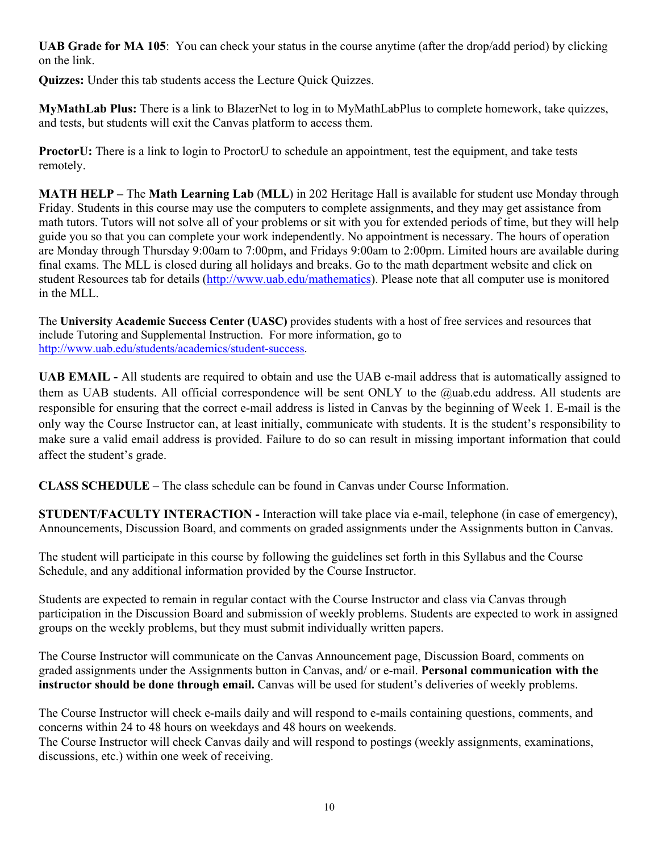**UAB Grade for MA 105**: You can check your status in the course anytime (after the drop/add period) by clicking on the link.

**Quizzes:** Under this tab students access the Lecture Quick Quizzes.

**MyMathLab Plus:** There is a link to BlazerNet to log in to MyMathLabPlus to complete homework, take quizzes, and tests, but students will exit the Canvas platform to access them.

**ProctorU:** There is a link to login to ProctorU to schedule an appointment, test the equipment, and take tests remotely.

**MATH HELP –** The **Math Learning Lab** (**MLL**) in 202 Heritage Hall is available for student use Monday through Friday. Students in this course may use the computers to complete assignments, and they may get assistance from math tutors. Tutors will not solve all of your problems or sit with you for extended periods of time, but they will help guide you so that you can complete your work independently. No appointment is necessary. The hours of operation are Monday through Thursday 9:00am to 7:00pm, and Fridays 9:00am to 2:00pm. Limited hours are available during final exams. The MLL is closed during all holidays and breaks. Go to the math department website and click on student Resources tab for details (http://www.uab.edu/mathematics). Please note that all computer use is monitored in the MLL.

The **University Academic Success Center (UASC)** provides students with a host of free services and resources that include Tutoring and Supplemental Instruction. For more information, go to http://www.uab.edu/students/academics/student-success.

**UAB EMAIL -** All students are required to obtain and use the UAB e-mail address that is automatically assigned to them as UAB students. All official correspondence will be sent ONLY to the @uab.edu address. All students are responsible for ensuring that the correct e-mail address is listed in Canvas by the beginning of Week 1. E-mail is the only way the Course Instructor can, at least initially, communicate with students. It is the student's responsibility to make sure a valid email address is provided. Failure to do so can result in missing important information that could affect the student's grade.

**CLASS SCHEDULE** – The class schedule can be found in Canvas under Course Information.

**STUDENT/FACULTY INTERACTION -** Interaction will take place via e-mail, telephone (in case of emergency), Announcements, Discussion Board, and comments on graded assignments under the Assignments button in Canvas.

The student will participate in this course by following the guidelines set forth in this Syllabus and the Course Schedule, and any additional information provided by the Course Instructor.

Students are expected to remain in regular contact with the Course Instructor and class via Canvas through participation in the Discussion Board and submission of weekly problems. Students are expected to work in assigned groups on the weekly problems, but they must submit individually written papers.

The Course Instructor will communicate on the Canvas Announcement page, Discussion Board, comments on graded assignments under the Assignments button in Canvas, and/ or e-mail. **Personal communication with the instructor should be done through email.** Canvas will be used for student's deliveries of weekly problems.

The Course Instructor will check e-mails daily and will respond to e-mails containing questions, comments, and concerns within 24 to 48 hours on weekdays and 48 hours on weekends.

The Course Instructor will check Canvas daily and will respond to postings (weekly assignments, examinations, discussions, etc.) within one week of receiving.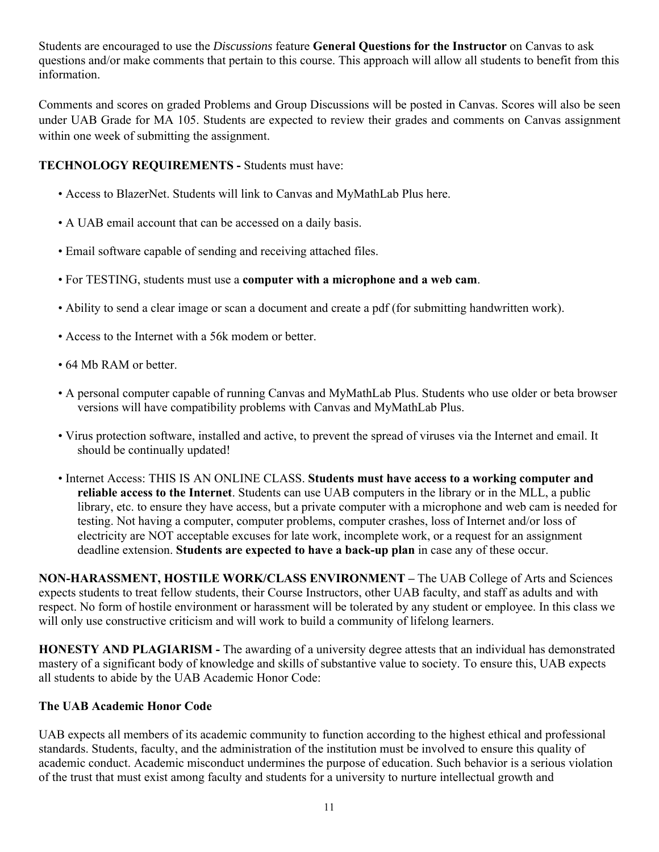Students are encouraged to use the *Discussions* feature **General Questions for the Instructor** on Canvas to ask questions and/or make comments that pertain to this course. This approach will allow all students to benefit from this information.

Comments and scores on graded Problems and Group Discussions will be posted in Canvas. Scores will also be seen under UAB Grade for MA 105. Students are expected to review their grades and comments on Canvas assignment within one week of submitting the assignment.

## **TECHNOLOGY REQUIREMENTS -** Students must have:

- Access to BlazerNet. Students will link to Canvas and MyMathLab Plus here.
- A UAB email account that can be accessed on a daily basis.
- Email software capable of sending and receiving attached files.
- For TESTING, students must use a **computer with a microphone and a web cam**.
- Ability to send a clear image or scan a document and create a pdf (for submitting handwritten work).
- Access to the Internet with a 56k modem or better.
- 64 Mb RAM or better.
- A personal computer capable of running Canvas and MyMathLab Plus. Students who use older or beta browser versions will have compatibility problems with Canvas and MyMathLab Plus.
- Virus protection software, installed and active, to prevent the spread of viruses via the Internet and email. It should be continually updated!
- Internet Access: THIS IS AN ONLINE CLASS. **Students must have access to a working computer and reliable access to the Internet**. Students can use UAB computers in the library or in the MLL, a public library, etc. to ensure they have access, but a private computer with a microphone and web cam is needed for testing. Not having a computer, computer problems, computer crashes, loss of Internet and/or loss of electricity are NOT acceptable excuses for late work, incomplete work, or a request for an assignment deadline extension. **Students are expected to have a back-up plan** in case any of these occur.

**NON-HARASSMENT, HOSTILE WORK/CLASS ENVIRONMENT –** The UAB College of Arts and Sciences expects students to treat fellow students, their Course Instructors, other UAB faculty, and staff as adults and with respect. No form of hostile environment or harassment will be tolerated by any student or employee. In this class we will only use constructive criticism and will work to build a community of lifelong learners.

**HONESTY AND PLAGIARISM -** The awarding of a university degree attests that an individual has demonstrated mastery of a significant body of knowledge and skills of substantive value to society. To ensure this, UAB expects all students to abide by the UAB Academic Honor Code:

### **The UAB Academic Honor Code**

UAB expects all members of its academic community to function according to the highest ethical and professional standards. Students, faculty, and the administration of the institution must be involved to ensure this quality of academic conduct. Academic misconduct undermines the purpose of education. Such behavior is a serious violation of the trust that must exist among faculty and students for a university to nurture intellectual growth and